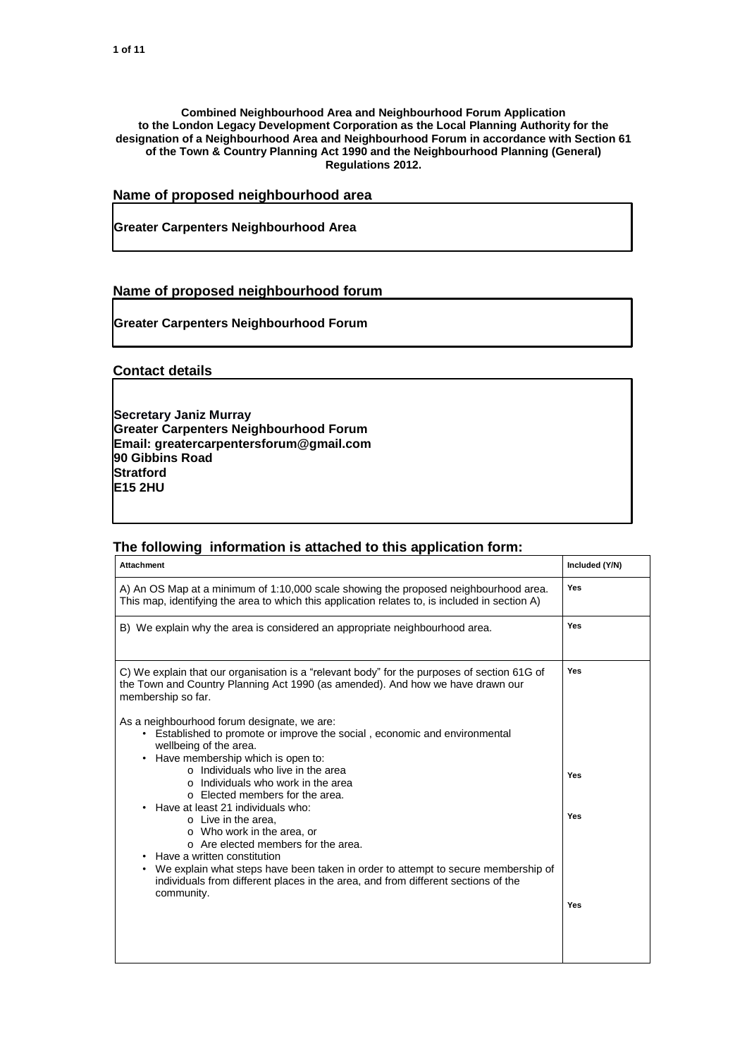**Combined Neighbourhood Area and Neighbourhood Forum Application to the London Legacy Development Corporation as the Local Planning Authority for the designation of a Neighbourhood Area and Neighbourhood Forum in accordance with Section 61 of the Town & Country Planning Act 1990 and the Neighbourhood Planning (General) Regulations 2012.**

#### **Name of proposed neighbourhood area**

**Greater Carpenters Neighbourhood Area**

#### **Name of proposed neighbourhood forum**

**Greater Carpenters Neighbourhood Forum** 

**Contact details**

**Secretary Janiz Murray Greater Carpenters Neighbourhood Forum Email: greatercarpentersforum@gmail.com 90 Gibbins Road Stratford E15 2HU**

## **The following information is attached to this application form:**

| <b>Attachment</b>                                                                                                                                                                                                                                                                                              | Included (Y/N) |
|----------------------------------------------------------------------------------------------------------------------------------------------------------------------------------------------------------------------------------------------------------------------------------------------------------------|----------------|
| A) An OS Map at a minimum of 1:10,000 scale showing the proposed neighbourhood area.<br>This map, identifying the area to which this application relates to, is included in section A)                                                                                                                         | Yes            |
| B) We explain why the area is considered an appropriate neighbourhood area.                                                                                                                                                                                                                                    | Yes            |
| C) We explain that our organisation is a "relevant body" for the purposes of section 61G of<br>the Town and Country Planning Act 1990 (as amended). And how we have drawn our<br>membership so far.                                                                                                            | Yes            |
| As a neighbourhood forum designate, we are:<br>• Established to promote or improve the social, economic and environmental<br>wellbeing of the area.<br>Have membership which is open to:<br>$\bullet$                                                                                                          |                |
| o Individuals who live in the area<br>o Individuals who work in the area<br>o Elected members for the area.<br>Have at least 21 individuals who:                                                                                                                                                               | Yes            |
| o Live in the area,<br>o Who work in the area, or<br>o Are elected members for the area.<br>Have a written constitution<br>We explain what steps have been taken in order to attempt to secure membership of<br>$\bullet$<br>individuals from different places in the area, and from different sections of the | Yes            |
| community.                                                                                                                                                                                                                                                                                                     | Yes            |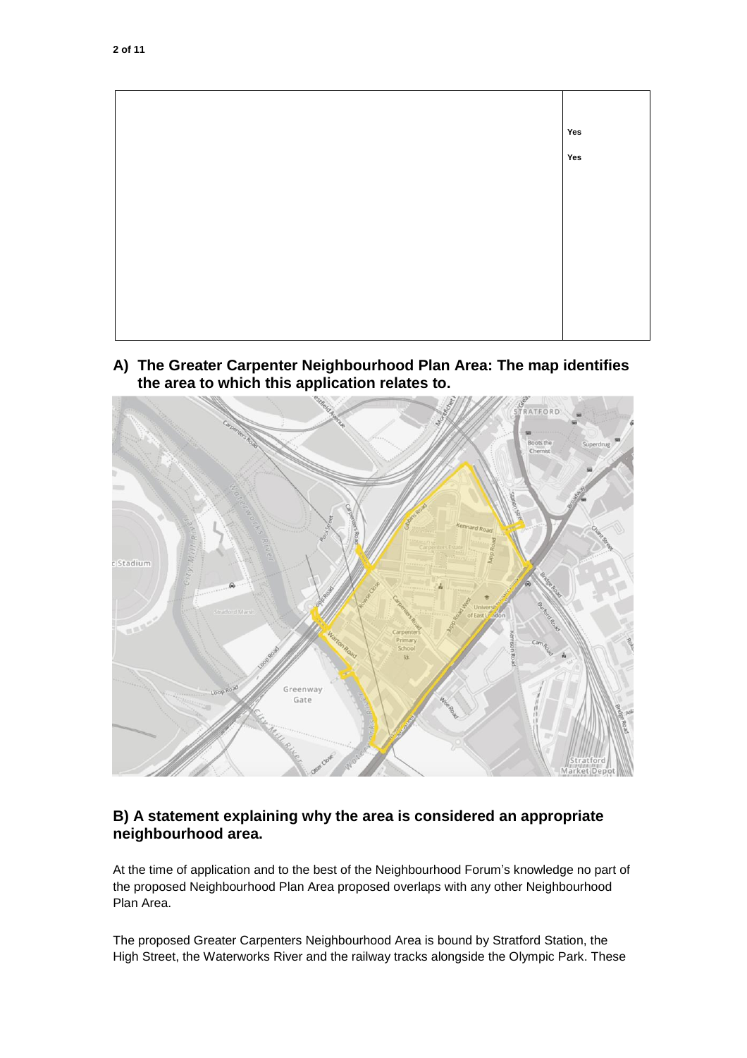

**A) The Greater Carpenter Neighbourhood Plan Area: The map identifies the area to which this application relates to.**



## **B) A statement explaining why the area is considered an appropriate neighbourhood area.**

At the time of application and to the best of the Neighbourhood Forum's knowledge no part of the proposed Neighbourhood Plan Area proposed overlaps with any other Neighbourhood Plan Area.

The proposed Greater Carpenters Neighbourhood Area is bound by Stratford Station, the High Street, the Waterworks River and the railway tracks alongside the Olympic Park. These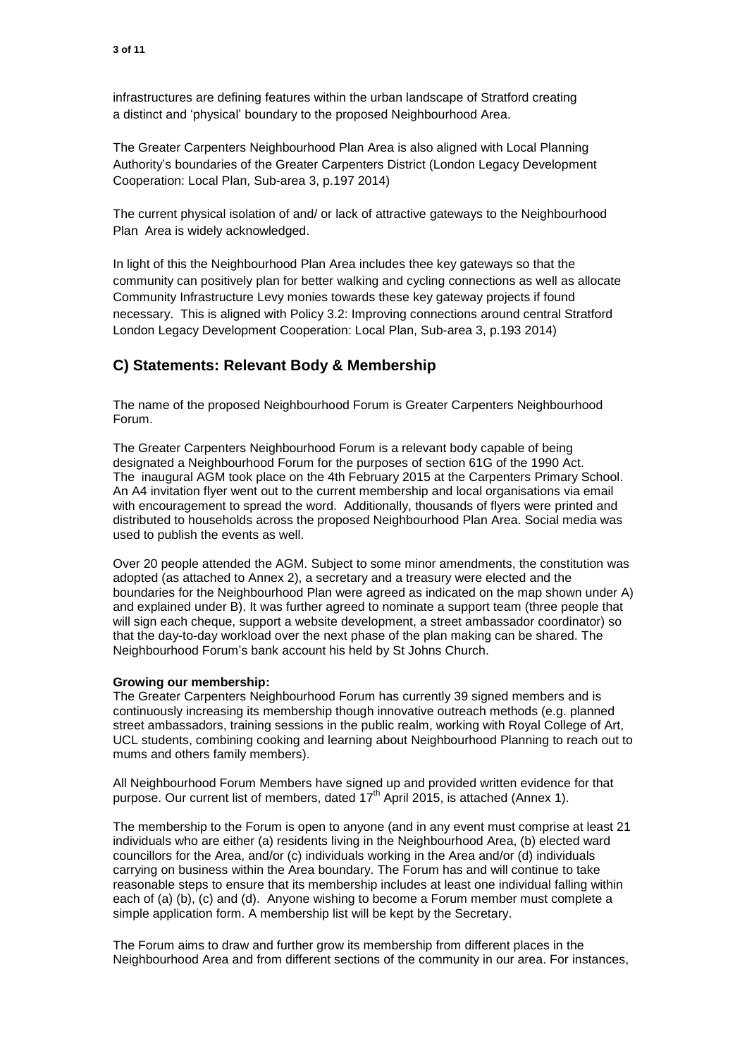infrastructures are defining features within the urban landscape of Stratford creating a distinct and 'physical' boundary to the proposed Neighbourhood Area.

The Greater Carpenters Neighbourhood Plan Area is also aligned with Local Planning Authority's boundaries of the Greater Carpenters District (London Legacy Development Cooperation: Local Plan, Sub-area 3, p.197 2014)

The current physical isolation of and/ or lack of attractive gateways to the Neighbourhood Plan Area is widely acknowledged.

In light of this the Neighbourhood Plan Area includes thee key gateways so that the community can positively plan for better walking and cycling connections as well as allocate Community Infrastructure Levy monies towards these key gateway projects if found necessary. This is aligned with Policy 3.2: Improving connections around central Stratford London Legacy Development Cooperation: Local Plan, Sub-area 3, p.193 2014)

## **C) Statements: Relevant Body & Membership**

The name of the proposed Neighbourhood Forum is Greater Carpenters Neighbourhood Forum.

The Greater Carpenters Neighbourhood Forum is a relevant body capable of being designated a Neighbourhood Forum for the purposes of section 61G of the 1990 Act. The inaugural AGM took place on the 4th February 2015 at the Carpenters Primary School. An A4 invitation flyer went out to the current membership and local organisations via email with encouragement to spread the word. Additionally, thousands of flyers were printed and distributed to households across the proposed Neighbourhood Plan Area. Social media was used to publish the events as well.

Over 20 people attended the AGM. Subject to some minor amendments, the constitution was adopted (as attached to Annex 2), a secretary and a treasury were elected and the boundaries for the Neighbourhood Plan were agreed as indicated on the map shown under A) and explained under B). It was further agreed to nominate a support team (three people that will sign each cheque, support a website development, a street ambassador coordinator) so that the day-to-day workload over the next phase of the plan making can be shared. The Neighbourhood Forum's bank account his held by St Johns Church.

#### **Growing our membership:**

The Greater Carpenters Neighbourhood Forum has currently 39 signed members and is continuously increasing its membership though innovative outreach methods (e.g. planned street ambassadors, training sessions in the public realm, working with Royal College of Art, UCL students, combining cooking and learning about Neighbourhood Planning to reach out to mums and others family members).

All Neighbourhood Forum Members have signed up and provided written evidence for that purpose. Our current list of members, dated  $17<sup>th</sup>$  April 2015, is attached (Annex 1).

The membership to the Forum is open to anyone (and in any event must comprise at least 21 individuals who are either (a) residents living in the Neighbourhood Area, (b) elected ward councillors for the Area, and/or (c) individuals working in the Area and/or (d) individuals carrying on business within the Area boundary. The Forum has and will continue to take reasonable steps to ensure that its membership includes at least one individual falling within each of (a) (b), (c) and (d). Anyone wishing to become a Forum member must complete a simple application form. A membership list will be kept by the Secretary.

The Forum aims to draw and further grow its membership from different places in the Neighbourhood Area and from different sections of the community in our area. For instances,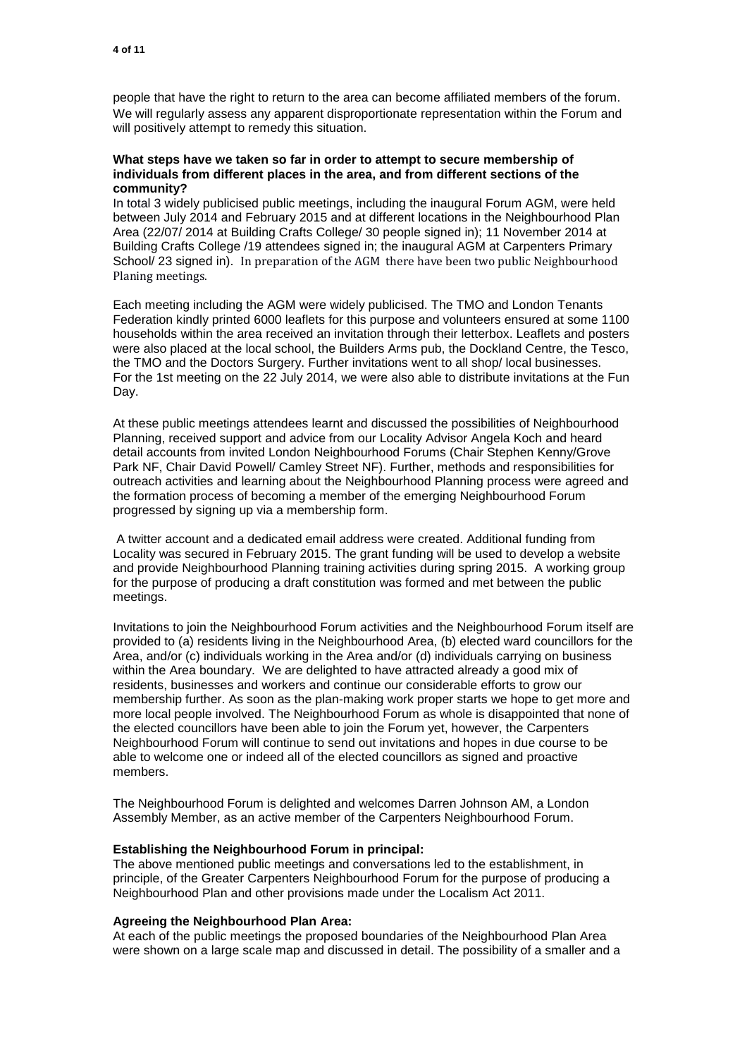people that have the right to return to the area can become affiliated members of the forum. We will regularly assess any apparent disproportionate representation within the Forum and will positively attempt to remedy this situation.

#### **What steps have we taken so far in order to attempt to secure membership of individuals from different places in the area, and from different sections of the community?**

In total 3 widely publicised public meetings, including the inaugural Forum AGM, were held between July 2014 and February 2015 and at different locations in the Neighbourhood Plan Area (22/07/ 2014 at Building Crafts College/ 30 people signed in); 11 November 2014 at Building Crafts College /19 attendees signed in; the inaugural AGM at Carpenters Primary School/ 23 signed in). In preparation of the AGM there have been two public Neighbourhood Planing meetings.

Each meeting including the AGM were widely publicised. The TMO and London Tenants Federation kindly printed 6000 leaflets for this purpose and volunteers ensured at some 1100 households within the area received an invitation through their letterbox. Leaflets and posters were also placed at the local school, the Builders Arms pub, the Dockland Centre, the Tesco, the TMO and the Doctors Surgery. Further invitations went to all shop/ local businesses. For the 1st meeting on the 22 July 2014, we were also able to distribute invitations at the Fun Day.

At these public meetings attendees learnt and discussed the possibilities of Neighbourhood Planning, received support and advice from our Locality Advisor Angela Koch and heard detail accounts from invited London Neighbourhood Forums (Chair Stephen Kenny/Grove Park NF, Chair David Powell/ Camley Street NF). Further, methods and responsibilities for outreach activities and learning about the Neighbourhood Planning process were agreed and the formation process of becoming a member of the emerging Neighbourhood Forum progressed by signing up via a membership form.

A twitter account and a dedicated email address were created. Additional funding from Locality was secured in February 2015. The grant funding will be used to develop a website and provide Neighbourhood Planning training activities during spring 2015. A working group for the purpose of producing a draft constitution was formed and met between the public meetings.

Invitations to join the Neighbourhood Forum activities and the Neighbourhood Forum itself are provided to (a) residents living in the Neighbourhood Area, (b) elected ward councillors for the Area, and/or (c) individuals working in the Area and/or (d) individuals carrying on business within the Area boundary. We are delighted to have attracted already a good mix of residents, businesses and workers and continue our considerable efforts to grow our membership further. As soon as the plan-making work proper starts we hope to get more and more local people involved. The Neighbourhood Forum as whole is disappointed that none of the elected councillors have been able to join the Forum yet, however, the Carpenters Neighbourhood Forum will continue to send out invitations and hopes in due course to be able to welcome one or indeed all of the elected councillors as signed and proactive members.

The Neighbourhood Forum is delighted and welcomes Darren Johnson AM, a London Assembly Member, as an active member of the Carpenters Neighbourhood Forum.

#### **Establishing the Neighbourhood Forum in principal:**

The above mentioned public meetings and conversations led to the establishment, in principle, of the Greater Carpenters Neighbourhood Forum for the purpose of producing a Neighbourhood Plan and other provisions made under the Localism Act 2011.

#### **Agreeing the Neighbourhood Plan Area:**

At each of the public meetings the proposed boundaries of the Neighbourhood Plan Area were shown on a large scale map and discussed in detail. The possibility of a smaller and a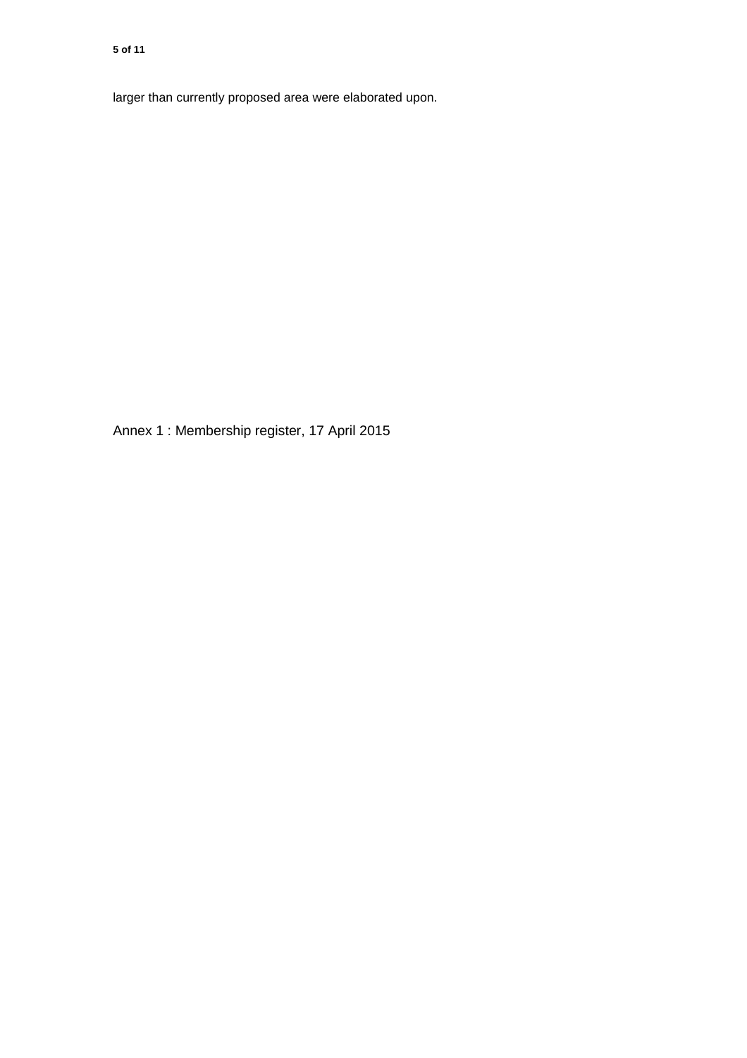larger than currently proposed area were elaborated upon.

Annex 1 : Membership register, 17 April 2015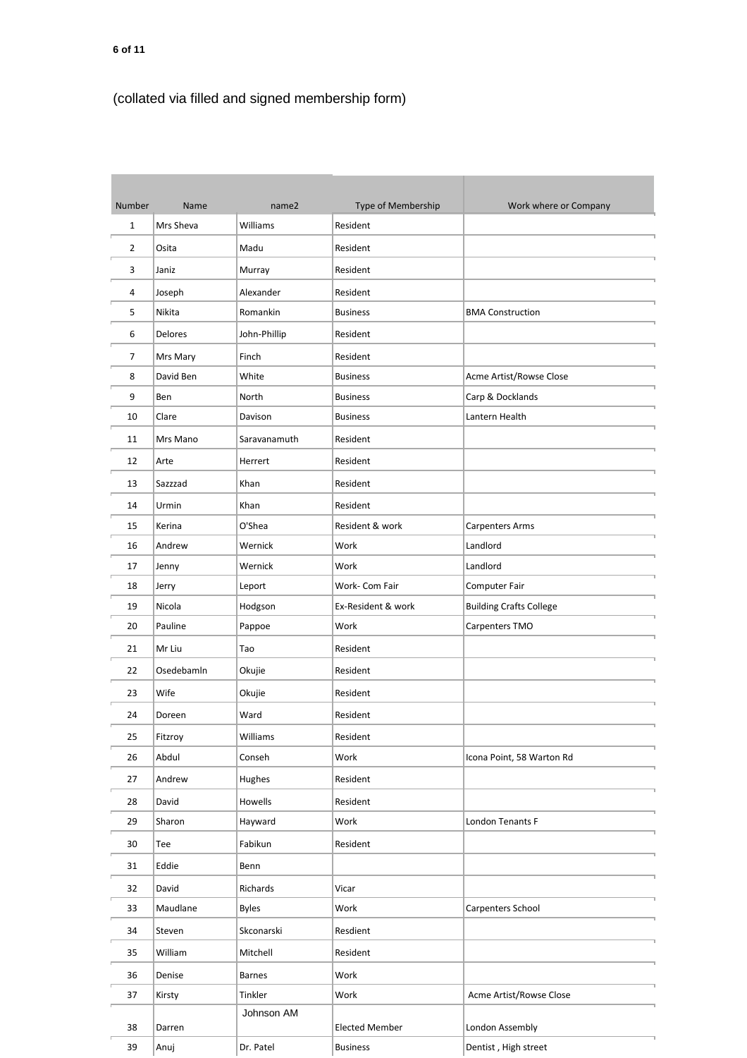## (collated via filled and signed membership form)

| Number         | Name       | name2         | Type of Membership    | Work where or Company          |
|----------------|------------|---------------|-----------------------|--------------------------------|
| $\mathbf{1}$   | Mrs Sheva  | Williams      | Resident              |                                |
| $\overline{2}$ | Osita      | Madu          | Resident              |                                |
| 3              | Janiz      | Murray        | Resident              |                                |
| 4              | Joseph     | Alexander     | Resident              |                                |
| 5              | Nikita     | Romankin      | <b>Business</b>       | <b>BMA Construction</b>        |
| 6              | Delores    | John-Phillip  | Resident              |                                |
| 7              | Mrs Mary   | Finch         | Resident              |                                |
| 8              | David Ben  | White         | <b>Business</b>       | Acme Artist/Rowse Close        |
| 9              | <b>Ben</b> | North         | <b>Business</b>       | Carp & Docklands               |
| 10             | Clare      | Davison       | <b>Business</b>       | Lantern Health                 |
| 11             | Mrs Mano   | Saravanamuth  | Resident              |                                |
| 12             | Arte       | Herrert       | Resident              |                                |
| 13             | Sazzzad    | Khan          | Resident              |                                |
| 14             | Urmin      | Khan          | Resident              |                                |
| 15             | Kerina     | O'Shea        | Resident & work       | <b>Carpenters Arms</b>         |
| 16             | Andrew     | Wernick       | Work                  | Landlord                       |
| 17             | Jenny      | Wernick       | Work                  | Landlord                       |
| 18             | Jerry      | Leport        | Work- Com Fair        | Computer Fair                  |
| 19             | Nicola     | Hodgson       | Ex-Resident & work    | <b>Building Crafts College</b> |
| 20             | Pauline    | Pappoe        | Work                  | Carpenters TMO                 |
| 21             | Mr Liu     | Tao           | Resident              |                                |
| 22             | Osedebamln | Okujie        | Resident              |                                |
| 23             | Wife       | Okujie        | Resident              |                                |
| 24             | Doreen     | Ward          | Resident              |                                |
| 25             | Fitzroy    | Williams      | Resident              |                                |
| 26             | Abdul      | Conseh        | Work                  | Icona Point, 58 Warton Rd      |
| 27             | Andrew     | Hughes        | Resident              |                                |
| 28             | David      | Howells       | Resident              |                                |
| 29             | Sharon     | Hayward       | Work                  | London Tenants F               |
| 30             | Tee        | Fabikun       | Resident              |                                |
| 31             | Eddie      | Benn          |                       |                                |
| 32             | David      | Richards      | Vicar                 |                                |
| 33             | Maudlane   | <b>Byles</b>  | Work                  | Carpenters School              |
| 34             | Steven     | Skconarski    | Resdient              |                                |
| 35             | William    | Mitchell      | Resident              |                                |
| 36             | Denise     | <b>Barnes</b> | Work                  |                                |
| 37             | Kirsty     | Tinkler       | Work                  | Acme Artist/Rowse Close        |
|                |            | Johnson AM    |                       |                                |
| 38             | Darren     |               | <b>Elected Member</b> | London Assembly                |
| 39             | Anuj       | Dr. Patel     | <b>Business</b>       | Dentist, High street           |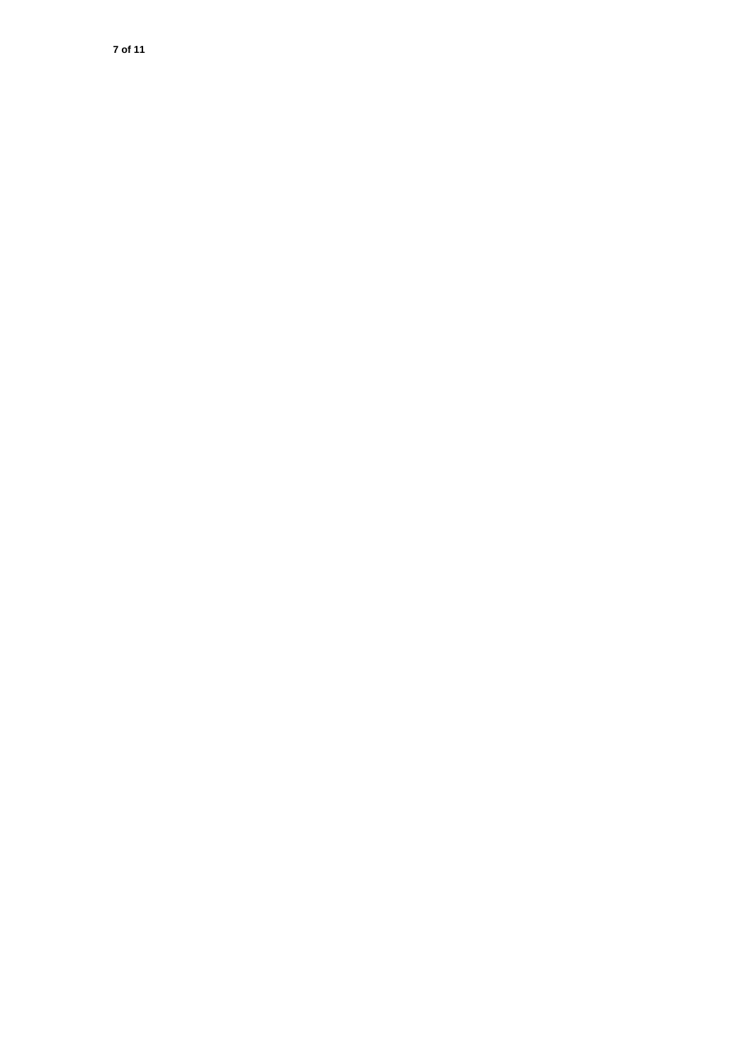**of 11**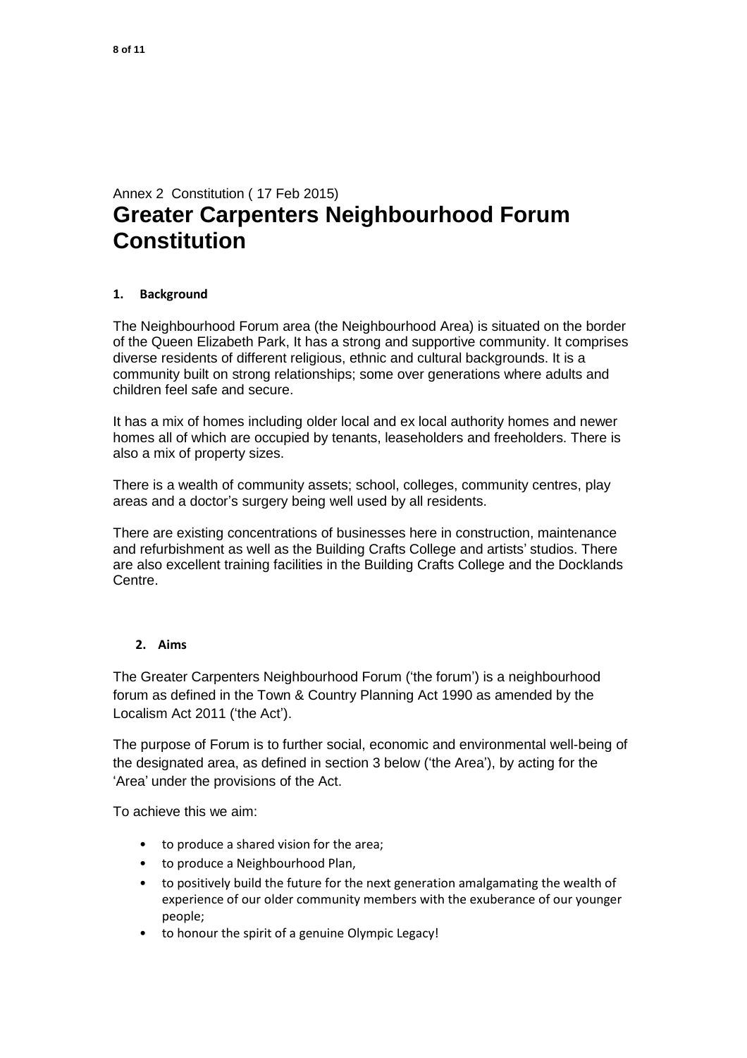# Annex 2 Constitution ( 17 Feb 2015) **Greater Carpenters Neighbourhood Forum Constitution**

#### **1. Background**

The Neighbourhood Forum area (the Neighbourhood Area) is situated on the border of the Queen Elizabeth Park, It has a strong and supportive community. It comprises diverse residents of different religious, ethnic and cultural backgrounds. It is a community built on strong relationships; some over generations where adults and children feel safe and secure.

It has a mix of homes including older local and ex local authority homes and newer homes all of which are occupied by tenants, leaseholders and freeholders. There is also a mix of property sizes.

There is a wealth of community assets; school, colleges, community centres, play areas and a doctor's surgery being well used by all residents.

There are existing concentrations of businesses here in construction, maintenance and refurbishment as well as the Building Crafts College and artists' studios. There are also excellent training facilities in the Building Crafts College and the Docklands Centre.

#### **2. Aims**

The Greater Carpenters Neighbourhood Forum ('the forum') is a neighbourhood forum as defined in the Town & Country Planning Act 1990 as amended by the Localism Act 2011 ('the Act').

The purpose of Forum is to further social, economic and environmental well-being of the designated area, as defined in section 3 below ('the Area'), by acting for the 'Area' under the provisions of the Act.

To achieve this we aim:

- to produce a shared vision for the area;
- to produce a Neighbourhood Plan,
- to positively build the future for the next generation amalgamating the wealth of experience of our older community members with the exuberance of our younger people;
- to honour the spirit of a genuine Olympic Legacy!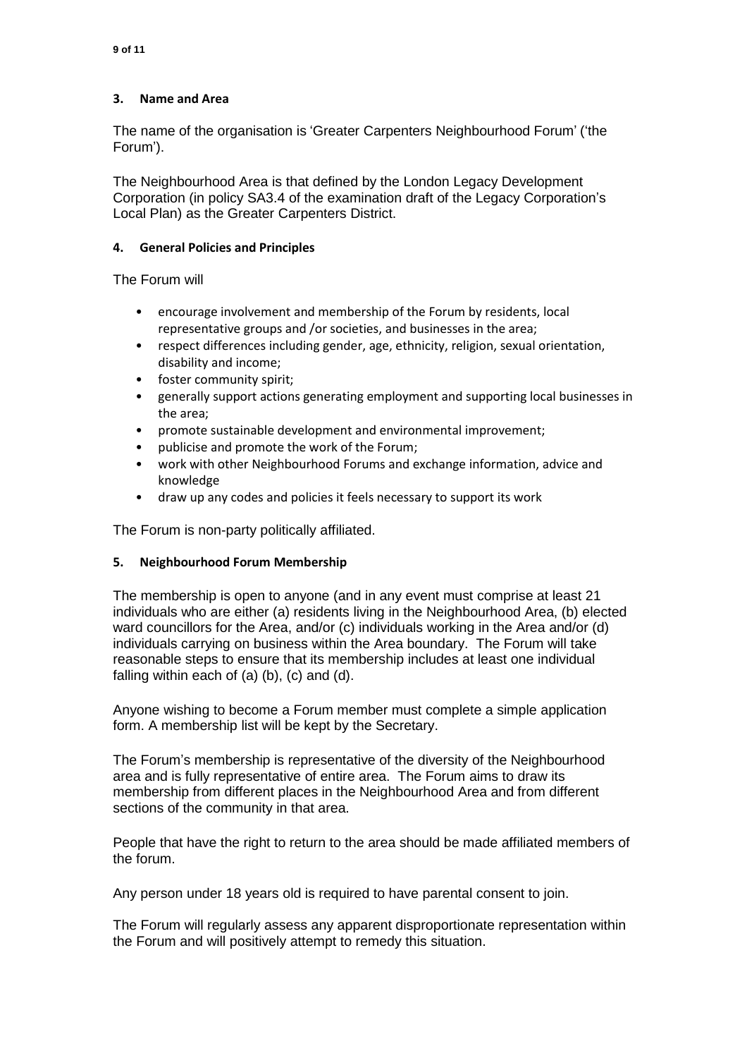#### **3. Name and Area**

The name of the organisation is 'Greater Carpenters Neighbourhood Forum' ('the Forum').

The Neighbourhood Area is that defined by the London Legacy Development Corporation (in policy SA3.4 of the examination draft of the Legacy Corporation's Local Plan) as the Greater Carpenters District.

#### **4. General Policies and Principles**

The Forum will

- encourage involvement and membership of the Forum by residents, local representative groups and /or societies, and businesses in the area;
- respect differences including gender, age, ethnicity, religion, sexual orientation, disability and income;
- foster community spirit;
- generally support actions generating employment and supporting local businesses in the area;
- promote sustainable development and environmental improvement;
- publicise and promote the work of the Forum;
- work with other Neighbourhood Forums and exchange information, advice and knowledge
- draw up any codes and policies it feels necessary to support its work

The Forum is non-party politically affiliated.

#### **5. Neighbourhood Forum Membership**

The membership is open to anyone (and in any event must comprise at least 21 individuals who are either (a) residents living in the Neighbourhood Area, (b) elected ward councillors for the Area, and/or (c) individuals working in the Area and/or (d) individuals carrying on business within the Area boundary. The Forum will take reasonable steps to ensure that its membership includes at least one individual falling within each of (a) (b), (c) and (d).

Anyone wishing to become a Forum member must complete a simple application form. A membership list will be kept by the Secretary.

The Forum's membership is representative of the diversity of the Neighbourhood area and is fully representative of entire area. The Forum aims to draw its membership from different places in the Neighbourhood Area and from different sections of the community in that area.

People that have the right to return to the area should be made affiliated members of the forum.

Any person under 18 years old is required to have parental consent to join.

The Forum will regularly assess any apparent disproportionate representation within the Forum and will positively attempt to remedy this situation.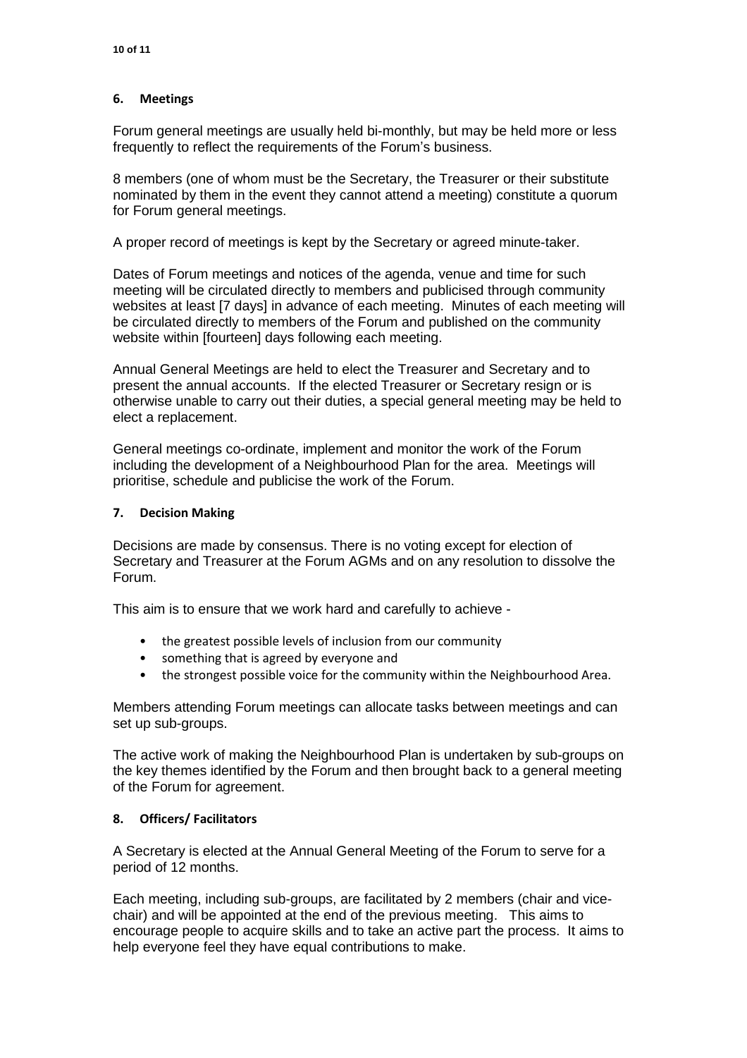#### **6. Meetings**

Forum general meetings are usually held bi-monthly, but may be held more or less frequently to reflect the requirements of the Forum's business.

8 members (one of whom must be the Secretary, the Treasurer or their substitute nominated by them in the event they cannot attend a meeting) constitute a quorum for Forum general meetings.

A proper record of meetings is kept by the Secretary or agreed minute-taker.

Dates of Forum meetings and notices of the agenda, venue and time for such meeting will be circulated directly to members and publicised through community websites at least [7 days] in advance of each meeting. Minutes of each meeting will be circulated directly to members of the Forum and published on the community website within [fourteen] days following each meeting.

Annual General Meetings are held to elect the Treasurer and Secretary and to present the annual accounts. If the elected Treasurer or Secretary resign or is otherwise unable to carry out their duties, a special general meeting may be held to elect a replacement.

General meetings co-ordinate, implement and monitor the work of the Forum including the development of a Neighbourhood Plan for the area. Meetings will prioritise, schedule and publicise the work of the Forum.

#### **7. Decision Making**

Decisions are made by consensus. There is no voting except for election of Secretary and Treasurer at the Forum AGMs and on any resolution to dissolve the Forum.

This aim is to ensure that we work hard and carefully to achieve -

- the greatest possible levels of inclusion from our community
- something that is agreed by everyone and
- the strongest possible voice for the community within the Neighbourhood Area.

Members attending Forum meetings can allocate tasks between meetings and can set up sub-groups.

The active work of making the Neighbourhood Plan is undertaken by sub-groups on the key themes identified by the Forum and then brought back to a general meeting of the Forum for agreement.

#### **8. Officers/ Facilitators**

A Secretary is elected at the Annual General Meeting of the Forum to serve for a period of 12 months.

Each meeting, including sub-groups, are facilitated by 2 members (chair and vicechair) and will be appointed at the end of the previous meeting. This aims to encourage people to acquire skills and to take an active part the process. It aims to help everyone feel they have equal contributions to make.